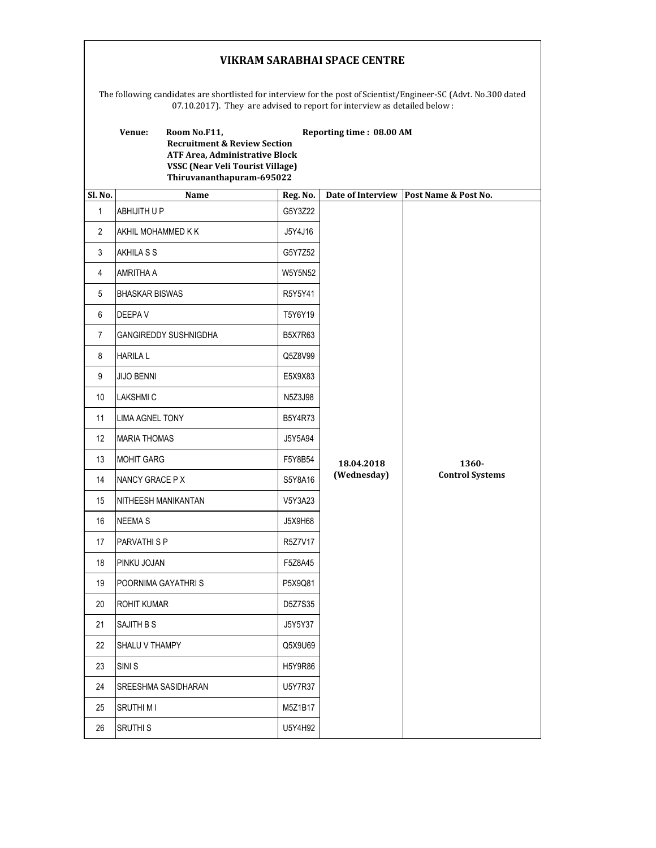## VIKRAM SARABHAI SPACE CENTRE

The following candidates are shortlisted for interview for the post of Scientist/Engineer-SC (Advt. No.300 dated 07.10.2017). They are advised to report for interview as detailed below :

|                | Venue:<br>Room No.F11,<br><b>Recruitment &amp; Review Section</b><br><b>ATF Area, Administrative Block</b><br><b>VSSC</b> (Near Veli Tourist Village)<br>Thiruvananthapuram-695022 |                | Reporting time: 08.00 AM |                        |
|----------------|------------------------------------------------------------------------------------------------------------------------------------------------------------------------------------|----------------|--------------------------|------------------------|
| Sl. No.        | <b>Name</b>                                                                                                                                                                        | Reg. No.       | Date of Interview        | Post Name & Post No.   |
| $\mathbf{1}$   | <b>ABHIJITH U P</b>                                                                                                                                                                | G5Y3Z22        |                          |                        |
| $\overline{2}$ | AKHIL MOHAMMED K K                                                                                                                                                                 | J5Y4J16        |                          |                        |
| 3              | AKHILA S S                                                                                                                                                                         | G5Y7Z52        |                          |                        |
| 4              | AMRITHA A                                                                                                                                                                          | <b>W5Y5N52</b> |                          |                        |
| 5              | <b>BHASKAR BISWAS</b>                                                                                                                                                              | R5Y5Y41        |                          |                        |
| 6              | <b>DEEPAV</b>                                                                                                                                                                      | T5Y6Y19        |                          |                        |
| 7              | <b>GANGIREDDY SUSHNIGDHA</b>                                                                                                                                                       | <b>B5X7R63</b> |                          |                        |
| 8              | <b>HARILA L</b>                                                                                                                                                                    | Q5Z8V99        |                          |                        |
| 9              | <b>JIJO BENNI</b>                                                                                                                                                                  | E5X9X83        |                          |                        |
| 10             | <b>LAKSHMI C</b>                                                                                                                                                                   | N5Z3J98        |                          |                        |
| 11             | <b>LIMA AGNEL TONY</b>                                                                                                                                                             | B5Y4R73        |                          |                        |
| 12             | <b>MARIA THOMAS</b>                                                                                                                                                                | J5Y5A94        |                          |                        |
| 13             | <b>MOHIT GARG</b>                                                                                                                                                                  | F5Y8B54        | 18.04.2018               | 1360-                  |
| 14             | NANCY GRACE P X                                                                                                                                                                    | S5Y8A16        | (Wednesday)              | <b>Control Systems</b> |
| 15             | NITHEESH MANIKANTAN                                                                                                                                                                | V5Y3A23        |                          |                        |
| 16             | <b>NEEMA S</b>                                                                                                                                                                     | J5X9H68        |                          |                        |
| 17             | PARVATHI S P                                                                                                                                                                       | R5Z7V17        |                          |                        |
| 18             | PINKU JOJAN                                                                                                                                                                        | F5Z8A45        |                          |                        |
| 19             | POORNIMA GAYATHRIS                                                                                                                                                                 | P5X9Q81        |                          |                        |
| 20             | <b>ROHIT KUMAR</b>                                                                                                                                                                 | D5Z7S35        |                          |                        |
| 21             | SAJITH B S                                                                                                                                                                         | J5Y5Y37        |                          |                        |
| 22             | SHALU V THAMPY                                                                                                                                                                     | Q5X9U69        |                          |                        |
| 23             | SINI <sub>S</sub>                                                                                                                                                                  | H5Y9R86        |                          |                        |
| 24             | SREESHMA SASIDHARAN                                                                                                                                                                | U5Y7R37        |                          |                        |
| 25             | SRUTHI M I                                                                                                                                                                         | M5Z1B17        |                          |                        |
| 26             | <b>SRUTHI S</b>                                                                                                                                                                    | U5Y4H92        |                          |                        |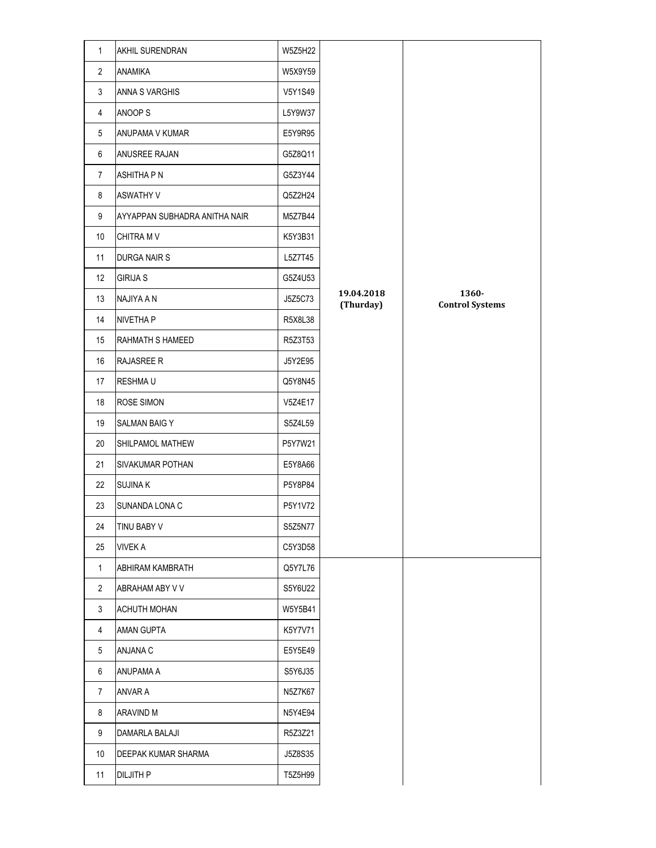| $\mathbf{1}$   | <b>AKHIL SURENDRAN</b>        | W5Z5H22 |                         |                                 |
|----------------|-------------------------------|---------|-------------------------|---------------------------------|
| $\overline{2}$ | <b>ANAMIKA</b>                | W5X9Y59 |                         |                                 |
| 3              | <b>ANNA S VARGHIS</b>         | V5Y1S49 |                         |                                 |
| 4              | ANOOP <sub>S</sub>            | L5Y9W37 |                         |                                 |
| 5              | ANUPAMA V KUMAR               | E5Y9R95 |                         |                                 |
| 6              | ANUSREE RAJAN                 | G5Z8Q11 |                         |                                 |
| $\overline{7}$ | <b>ASHITHA P N</b>            | G5Z3Y44 |                         |                                 |
| 8              | <b>ASWATHY V</b>              | Q5Z2H24 |                         |                                 |
| 9              | AYYAPPAN SUBHADRA ANITHA NAIR | M5Z7B44 |                         |                                 |
| 10             | <b>CHITRA MV</b>              | K5Y3B31 |                         |                                 |
| 11             | <b>DURGA NAIR S</b>           | L5Z7T45 |                         |                                 |
| 12             | <b>GIRIJA S</b>               | G5Z4U53 |                         |                                 |
| 13             | NAJIYA A N                    | J5Z5C73 | 19.04.2018<br>(Thurday) | 1360-<br><b>Control Systems</b> |
| 14             | <b>NIVETHA P</b>              | R5X8L38 |                         |                                 |
| 15             | RAHMATH S HAMEED              | R5Z3T53 |                         |                                 |
| 16             | RAJASREE R                    | J5Y2E95 |                         |                                 |
| 17             | <b>RESHMAU</b>                | Q5Y8N45 |                         |                                 |
| 18             | <b>ROSE SIMON</b>             | V5Z4E17 |                         |                                 |
| 19             | <b>SALMAN BAIG Y</b>          | S5Z4L59 |                         |                                 |
| 20             | SHILPAMOL MATHEW              | P5Y7W21 |                         |                                 |
| 21             | <b>SIVAKUMAR POTHAN</b>       | E5Y8A66 |                         |                                 |
| 22             | <b>SUJINAK</b>                | P5Y8P84 |                         |                                 |
| 23             | SUNANDA LONA C                | P5Y1V72 |                         |                                 |
| 24             | TINU BABY V                   | S5Z5N77 |                         |                                 |
| 25             | VIVEK A                       | C5Y3D58 |                         |                                 |
| $\mathbf{1}$   | ABHIRAM KAMBRATH              | Q5Y7L76 |                         |                                 |
| $\overline{2}$ | ABRAHAM ABY V V               | S5Y6U22 |                         |                                 |
| 3              | <b>ACHUTH MOHAN</b>           | W5Y5B41 |                         |                                 |
| $\overline{4}$ | <b>AMAN GUPTA</b>             | K5Y7V71 |                         |                                 |
| 5              | ANJANA C                      | E5Y5E49 |                         |                                 |
| 6              | ANUPAMA A                     | S5Y6J35 |                         |                                 |
| 7              | ANVAR A                       | N5Z7K67 |                         |                                 |
| 8              | ARAVIND M                     | N5Y4E94 |                         |                                 |
| 9              | DAMARLA BALAJI                | R5Z3Z21 |                         |                                 |
| 10             | DEEPAK KUMAR SHARMA           | J5Z8S35 |                         |                                 |
| 11             | <b>DILJITH P</b>              | T5Z5H99 |                         |                                 |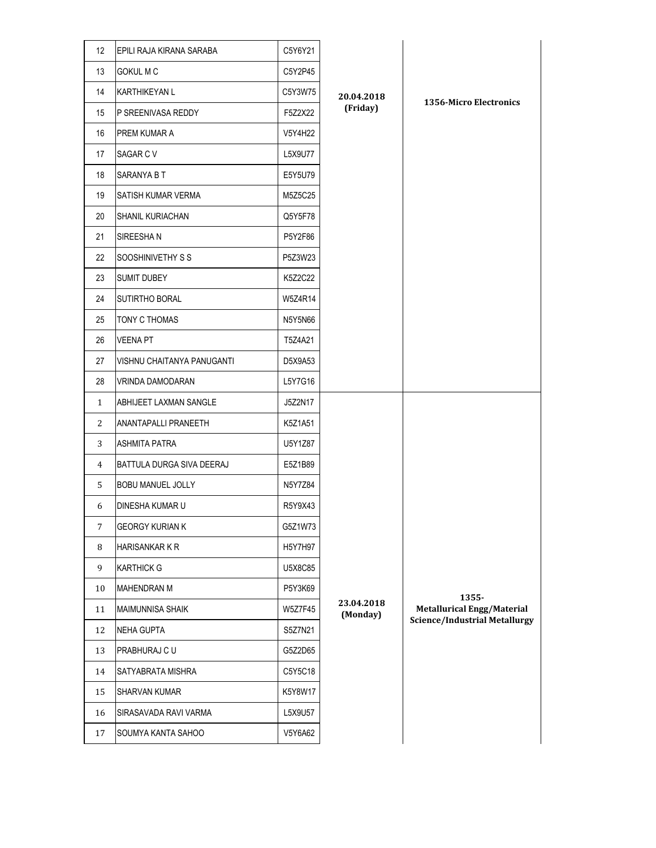| 12           | IEPILI RAJA KIRANA SARABA   | C5Y6Y21        |                        |                                                                           |
|--------------|-----------------------------|----------------|------------------------|---------------------------------------------------------------------------|
| 13           | <b>GOKUL M C</b>            | C5Y2P45        |                        |                                                                           |
| 14           | <b>KARTHIKEYAN L</b>        | C5Y3W75        | 20.04.2018             | 1356-Micro Electronics                                                    |
| 15           | P SREENIVASA REDDY          | F5Z2X22        | (Friday)               |                                                                           |
| 16           | PREM KUMAR A                | V5Y4H22        |                        |                                                                           |
| 17           | SAGAR C V                   | L5X9U77        |                        |                                                                           |
| 18           | SARANYA B T                 | E5Y5U79        |                        |                                                                           |
| 19           | SATISH KUMAR VERMA          | M5Z5C25        |                        |                                                                           |
| 20           | <b>SHANIL KURIACHAN</b>     | Q5Y5F78        |                        |                                                                           |
| 21           | SIREESHAN                   | P5Y2F86        |                        |                                                                           |
| 22           | SOOSHINIVETHY S S           | P5Z3W23        |                        |                                                                           |
| 23           | <b>SUMIT DUBEY</b>          | K5Z2C22        |                        |                                                                           |
| 24           | <b>SUTIRTHO BORAL</b>       | W5Z4R14        |                        |                                                                           |
| 25           | TONY C THOMAS               | N5Y5N66        |                        |                                                                           |
| 26           | <b>VEENA PT</b>             | T5Z4A21        |                        |                                                                           |
| 27           | VISHNU CHAITANYA PANUGANTI  | D5X9A53        |                        |                                                                           |
| 28           | VRINDA DAMODARAN            | L5Y7G16        |                        |                                                                           |
| $\mathbf{1}$ | ABHIJEET LAXMAN SANGLE      | J5Z2N17        |                        |                                                                           |
| 2            | <b>ANANTAPALLI PRANEETH</b> | K5Z1A51        |                        |                                                                           |
| 3            | <b>ASHMITA PATRA</b>        | U5Y1Z87        |                        |                                                                           |
| 4            | BATTULA DURGA SIVA DEERAJ   | E5Z1B89        |                        |                                                                           |
| 5            | <b>BOBU MANUEL JOLLY</b>    | N5Y7Z84        |                        |                                                                           |
| 6            | DINESHA KUMAR U             | R5Y9X43        |                        |                                                                           |
| 7            | <b>GEORGY KURIAN K</b>      | G5Z1W73        |                        |                                                                           |
| 8            | <b>HARISANKAR K R</b>       | H5Y7H97        |                        |                                                                           |
| 9            | <b>KARTHICK G</b>           | U5X8C85        |                        |                                                                           |
| 10           | <b>MAHENDRAN M</b>          | P5Y3K69        |                        | 1355-                                                                     |
| 11           | <b>MAIMUNNISA SHAIK</b>     | <b>W5Z7F45</b> | 23.04.2018<br>(Monday) | <b>Metallurical Engg/Material</b><br><b>Science/Industrial Metallurgy</b> |
| 12           | <b>NEHA GUPTA</b>           | S5Z7N21        |                        |                                                                           |
| 13           | <b>PRABHURAJ C U</b>        | G5Z2D65        |                        |                                                                           |
|              |                             | C5Y5C18        |                        |                                                                           |
| 14           | SATYABRATA MISHRA           |                |                        |                                                                           |
| 15           | <b>SHARVAN KUMAR</b>        | K5Y8W17        |                        |                                                                           |
| 16           | SIRASAVADA RAVI VARMA       | L5X9U57        |                        |                                                                           |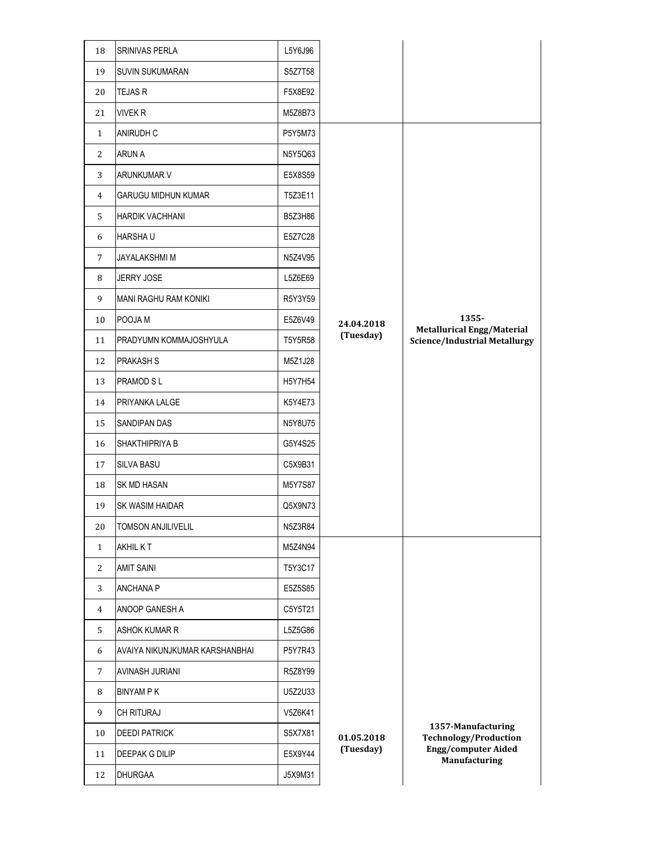| 18             | <b>SRINIVAS PERLA</b>          | L5Y6J96        |            |                                                    |
|----------------|--------------------------------|----------------|------------|----------------------------------------------------|
| 19             | <b>SUVIN SUKUMARAN</b>         | S5Z7T58        |            |                                                    |
| 20             | <b>TEJAS R</b>                 | F5X8E92        |            |                                                    |
| 21             | <b>VIVEK R</b>                 | M5Z8B73        |            |                                                    |
| $\mathbf{1}$   | <b>ANIRUDH C</b>               | P5Y5M73        |            |                                                    |
| 2              | <b>ARUN A</b>                  | N5Y5Q63        |            |                                                    |
| 3              | <b>ARUNKUMAR V</b>             | E5X8S59        |            |                                                    |
| 4              | <b>GARUGU MIDHUN KUMAR</b>     | T5Z3E11        |            |                                                    |
| 5              | <b>HARDIK VACHHANI</b>         | B5Z3H86        |            |                                                    |
| 6              | <b>HARSHAU</b>                 | E5Z7C28        |            |                                                    |
| $\overline{7}$ | <b>JAYALAKSHMI M</b>           | N5Z4V95        |            |                                                    |
| 8              | <b>JERRY JOSE</b>              | L5Z6E69        |            |                                                    |
| 9              | MANI RAGHU RAM KONIKI          | R5Y3Y59        |            |                                                    |
| 10             | POOJA M                        | E5Z6V49        | 24.04.2018 | 1355-<br><b>Metallurical Engg/Material</b>         |
| 11             | <b>PRADYUMN KOMMAJOSHYULA</b>  | T5Y5R58        | (Tuesday)  | <b>Science/Industrial Metallurgy</b>               |
| 12             | <b>PRAKASH S</b>               | M5Z1J28        |            |                                                    |
| 13             | <b>PRAMOD SL</b>               | <b>H5Y7H54</b> |            |                                                    |
| 14             | <b>PRIYANKA LALGE</b>          | K5Y4E73        |            |                                                    |
| 15             | <b>SANDIPAN DAS</b>            | N5Y8U75        |            |                                                    |
| 16             | <b>SHAKTHIPRIYA B</b>          | G5Y4S25        |            |                                                    |
| 17             | <b>SILVA BASU</b>              | C5X9B31        |            |                                                    |
| 18             | <b>SK MD HASAN</b>             | M5Y7S87        |            |                                                    |
| 19             | <b>SK WASIM HAIDAR</b>         | Q5X9N73        |            |                                                    |
| 20             | <b>TOMSON ANJILIVELIL</b>      | N5Z3R84        |            |                                                    |
| $\mathbf{1}$   | <b>AKHIL KT</b>                | M5Z4N94        |            |                                                    |
| $\overline{2}$ | <b>AMIT SAINI</b>              | T5Y3C17        |            |                                                    |
| 3              | <b>ANCHANA P</b>               | E5Z5S85        |            |                                                    |
| 4              | ANOOP GANESH A                 | C5Y5T21        |            |                                                    |
| 5              | <b>ASHOK KUMAR R</b>           | L5Z5G86        |            |                                                    |
| 6              | AVAIYA NIKUNJKUMAR KARSHANBHAI | P5Y7R43        |            |                                                    |
| 7              | <b>AVINASH JURIANI</b>         | R5Z8Y99        |            |                                                    |
| 8              | <b>BINYAM PK</b>               | U5Z2U33        |            |                                                    |
| 9              | CH RITURAJ                     | V5Z6K41        |            |                                                    |
| 10             | <b>DEEDI PATRICK</b>           | S5X7X81        | 01.05.2018 | 1357-Manufacturing<br><b>Technology/Production</b> |
| 11             | <b>DEEPAK G DILIP</b>          | E5X9Y44        | (Tuesday)  | <b>Engg/computer Aided</b><br><b>Manufacturing</b> |
| 12             | <b>DHURGAA</b>                 | J5X9M31        |            |                                                    |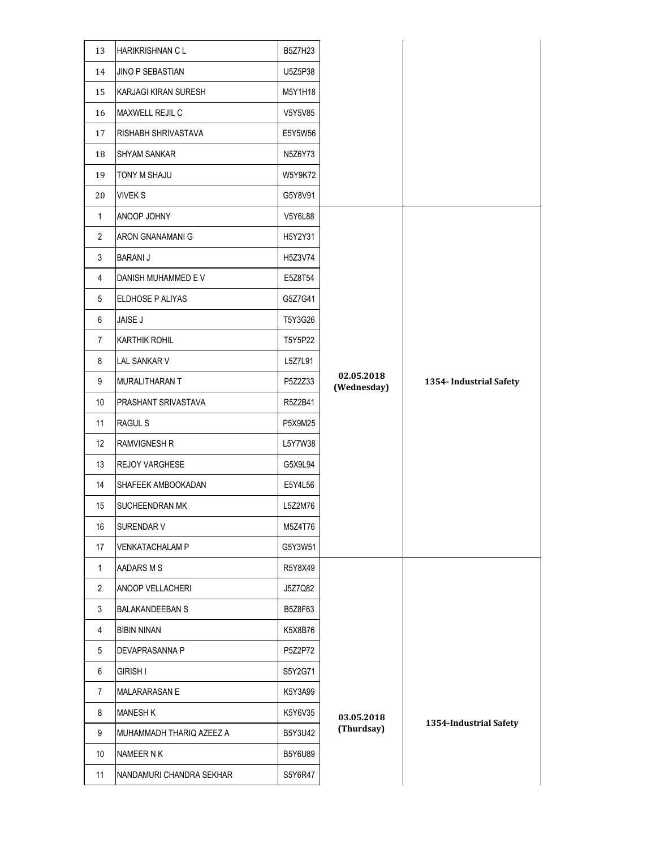| 13             | <b>HARIKRISHNAN CL</b>      | B5Z7H23        |                           |                         |
|----------------|-----------------------------|----------------|---------------------------|-------------------------|
| 14             | JINO P SEBASTIAN            | U5Z5P38        |                           |                         |
| 15             | <b>KARJAGI KIRAN SURESH</b> | M5Y1H18        |                           |                         |
| 16             | MAXWELL REJIL C             | V5Y5V85        |                           |                         |
| 17             | RISHABH SHRIVASTAVA         | E5Y5W56        |                           |                         |
| 18             | <b>SHYAM SANKAR</b>         | N5Z6Y73        |                           |                         |
| 19             | TONY M SHAJU                | W5Y9K72        |                           |                         |
| 20             | <b>VIVEK S</b>              | G5Y8V91        |                           |                         |
| 1              | ANOOP JOHNY                 | V5Y6L88        |                           |                         |
| $\overline{2}$ | <b>ARON GNANAMANI G</b>     | H5Y2Y31        |                           |                         |
| 3              | <b>BARANI J</b>             | H5Z3V74        |                           |                         |
| 4              | DANISH MUHAMMED E V         | E5Z8T54        |                           |                         |
| 5              | ELDHOSE P ALIYAS            | G5Z7G41        |                           |                         |
| 6              | <b>JAISE J</b>              | T5Y3G26        |                           |                         |
| 7              | <b>KARTHIK ROHIL</b>        | T5Y5P22        |                           |                         |
| 8              | <b>LAL SANKAR V</b>         | L5Z7L91        |                           |                         |
| 9              | MURALITHARAN T              | P5Z2Z33        | 02.05.2018<br>(Wednesday) | 1354- Industrial Safety |
| 10             | PRASHANT SRIVASTAVA         | R5Z2B41        |                           |                         |
| 11             | <b>RAGUL S</b>              | P5X9M25        |                           |                         |
| 12             | <b>RAMVIGNESH R</b>         | L5Y7W38        |                           |                         |
| 13             | REJOY VARGHESE              | G5X9L94        |                           |                         |
| 14             | SHAFEEK AMBOOKADAN          | E5Y4L56        |                           |                         |
| 15             | <b>SUCHEENDRAN MK</b>       | L5Z2M76        |                           |                         |
| 16             | <b>SURENDAR V</b>           | M5Z4T76        |                           |                         |
| 17             | <b>VENKATACHALAM P</b>      | G5Y3W51        |                           |                         |
| $\mathbf{1}$   | AADARS M S                  | R5Y8X49        |                           |                         |
| $\overline{2}$ | <b>ANOOP VELLACHERI</b>     | J5Z7Q82        |                           |                         |
| 3              | <b>BALAKANDEEBAN S</b>      | B5Z8F63        |                           |                         |
| 4              | <b>BIBIN NINAN</b>          | K5X8B76        |                           |                         |
| 5              | DEVAPRASANNA P              | P5Z2P72        |                           |                         |
| 6              | <b>GIRISH I</b>             | S5Y2G71        |                           |                         |
| 7              | <b>MALARARASAN E</b>        | K5Y3A99        |                           |                         |
| 8              | <b>MANESH K</b>             | K5Y6V35        | 03.05.2018                | 1354-Industrial Safety  |
| 9              | MUHAMMADH THARIQ AZEEZ A    | B5Y3U42        | (Thurdsay)                |                         |
| 10             | NAMEER N K                  | <b>B5Y6U89</b> |                           |                         |
| 11             | NANDAMURI CHANDRA SEKHAR    | S5Y6R47        |                           |                         |